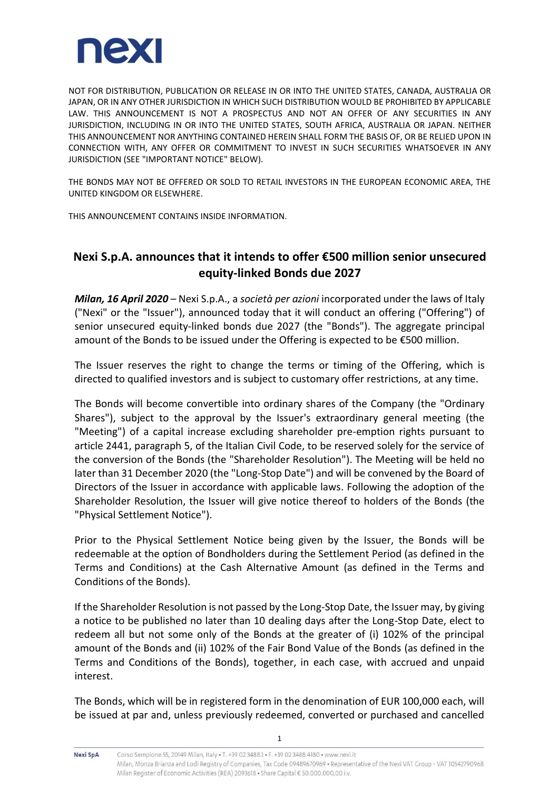

NOT FOR DISTRIBUTION, PUBLICATION OR RELEASE IN OR INTO THE UNITED STATES, CANADA, AUSTRALIA OR JAPAN, OR IN ANY OTHER JURISDICTION IN WHICH SUCH DISTRIBUTION WOULD BE PROHIBITED BY APPLICABLE LAW. THIS ANNOUNCEMENT IS NOT A PROSPECTUS AND NOT AN OFFER OF ANY SECURITIES IN ANY JURISDICTION, INCLUDING IN OR INTO THE UNITED STATES, SOUTH AFRICA, AUSTRALIA OR JAPAN. NEITHER THIS ANNOUNCEMENT NOR ANYTHING CONTAINED HEREIN SHALL FORM THE BASIS OF, OR BE RELIED UPON IN CONNECTION WITH, ANY OFFER OR COMMITMENT TO INVEST IN SUCH SECURITIES WHATSOEVER IN ANY JURISDICTION (SEE "IMPORTANT NOTICE" BELOW).

THE BONDS MAY NOT BE OFFERED OR SOLD TO RETAIL INVESTORS IN THE EUROPEAN ECONOMIC AREA, THE UNITED KINGDOM OR ELSEWHERE.

THIS ANNOUNCEMENT CONTAINS INSIDE INFORMATION.

# **Nexi S.p.A. announces that it intends to offer €500 million senior unsecured equity-linked Bonds due 2027**

*Milan, 16 April 2020* – Nexi S.p.A., a *società per azioni* incorporated under the laws of Italy ("Nexi" or the "Issuer"), announced today that it will conduct an offering ("Offering") of senior unsecured equity-linked bonds due 2027 (the "Bonds"). The aggregate principal amount of the Bonds to be issued under the Offering is expected to be  $\epsilon$ 500 million.

The Issuer reserves the right to change the terms or timing of the Offering, which is directed to qualified investors and is subject to customary offer restrictions, at any time.

The Bonds will become convertible into ordinary shares of the Company (the "Ordinary Shares"), subject to the approval by the Issuer's extraordinary general meeting (the "Meeting") of a capital increase excluding shareholder pre-emption rights pursuant to article 2441, paragraph 5, of the Italian Civil Code, to be reserved solely for the service of the conversion of the Bonds (the "Shareholder Resolution"). The Meeting will be held no later than 31 December 2020 (the "Long-Stop Date") and will be convened by the Board of Directors of the Issuer in accordance with applicable laws. Following the adoption of the Shareholder Resolution, the Issuer will give notice thereof to holders of the Bonds (the "Physical Settlement Notice").

Prior to the Physical Settlement Notice being given by the Issuer, the Bonds will be redeemable at the option of Bondholders during the Settlement Period (as defined in the Terms and Conditions) at the Cash Alternative Amount (as defined in the Terms and Conditions of the Bonds).

If the Shareholder Resolution is not passed by the Long-Stop Date, the Issuer may, by giving a notice to be published no later than 10 dealing days after the Long-Stop Date, elect to redeem all but not some only of the Bonds at the greater of (i) 102% of the principal amount of the Bonds and (ii) 102% of the Fair Bond Value of the Bonds (as defined in the Terms and Conditions of the Bonds), together, in each case, with accrued and unpaid interest.

The Bonds, which will be in registered form in the denomination of EUR 100,000 each, will be issued at par and, unless previously redeemed, converted or purchased and cancelled

**Nexi SpA** 

1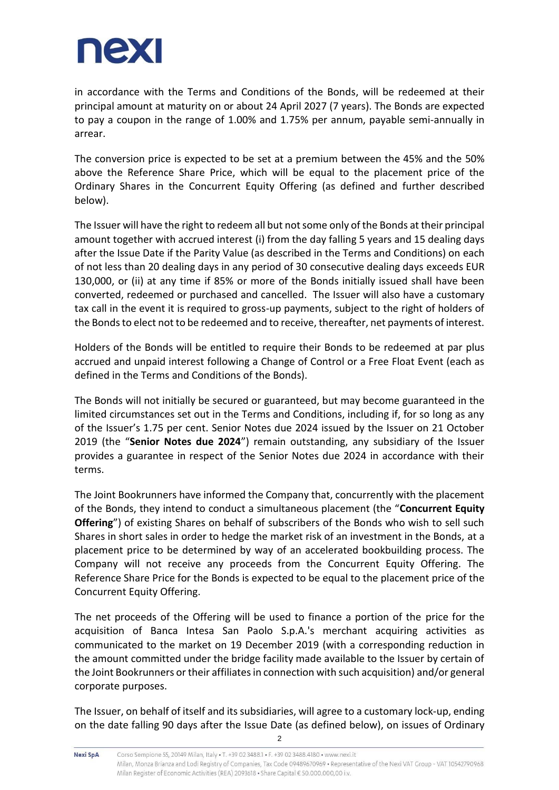

in accordance with the Terms and Conditions of the Bonds, will be redeemed at their principal amount at maturity on or about 24 April 2027 (7 years). The Bonds are expected to pay a coupon in the range of 1.00% and 1.75% per annum, payable semi-annually in arrear.

The conversion price is expected to be set at a premium between the 45% and the 50% above the Reference Share Price, which will be equal to the placement price of the Ordinary Shares in the Concurrent Equity Offering (as defined and further described below).

The Issuer will have the right to redeem all but not some only of the Bonds at their principal amount together with accrued interest (i) from the day falling 5 years and 15 dealing days after the Issue Date if the Parity Value (as described in the Terms and Conditions) on each of not less than 20 dealing days in any period of 30 consecutive dealing days exceeds EUR 130,000, or (ii) at any time if 85% or more of the Bonds initially issued shall have been converted, redeemed or purchased and cancelled. The Issuer will also have a customary tax call in the event it is required to gross-up payments, subject to the right of holders of the Bonds to elect not to be redeemed and to receive, thereafter, net payments of interest.

Holders of the Bonds will be entitled to require their Bonds to be redeemed at par plus accrued and unpaid interest following a Change of Control or a Free Float Event (each as defined in the Terms and Conditions of the Bonds).

The Bonds will not initially be secured or guaranteed, but may become guaranteed in the limited circumstances set out in the Terms and Conditions, including if, for so long as any of the Issuer's 1.75 per cent. Senior Notes due 2024 issued by the Issuer on 21 October 2019 (the "**Senior Notes due 2024**") remain outstanding, any subsidiary of the Issuer provides a guarantee in respect of the Senior Notes due 2024 in accordance with their terms.

The Joint Bookrunners have informed the Company that, concurrently with the placement of the Bonds, they intend to conduct a simultaneous placement (the "**Concurrent Equity Offering**") of existing Shares on behalf of subscribers of the Bonds who wish to sell such Shares in short sales in order to hedge the market risk of an investment in the Bonds, at a placement price to be determined by way of an accelerated bookbuilding process. The Company will not receive any proceeds from the Concurrent Equity Offering. The Reference Share Price for the Bonds is expected to be equal to the placement price of the Concurrent Equity Offering.

The net proceeds of the Offering will be used to finance a portion of the price for the acquisition of Banca Intesa San Paolo S.p.A.'s merchant acquiring activities as communicated to the market on 19 December 2019 (with a corresponding reduction in the amount committed under the bridge facility made available to the Issuer by certain of the Joint Bookrunners or their affiliates in connection with such acquisition) and/or general corporate purposes.

The Issuer, on behalf of itself and its subsidiaries, will agree to a customary lock-up, ending on the date falling 90 days after the Issue Date (as defined below), on issues of Ordinary

2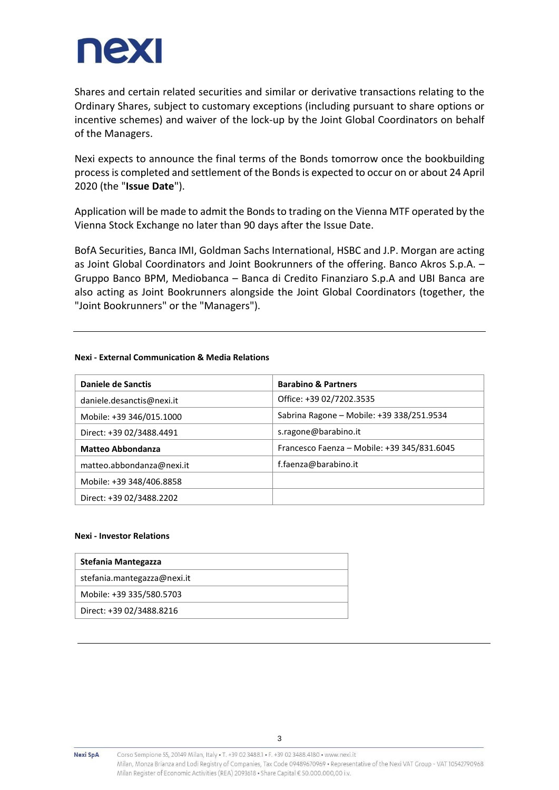

Shares and certain related securities and similar or derivative transactions relating to the Ordinary Shares, subject to customary exceptions (including pursuant to share options or incentive schemes) and waiver of the lock-up by the Joint Global Coordinators on behalf of the Managers.

Nexi expects to announce the final terms of the Bonds tomorrow once the bookbuilding process is completed and settlement of the Bonds is expected to occur on or about 24 April 2020 (the "**Issue Date**").

Application will be made to admit the Bonds to trading on the Vienna MTF operated by the Vienna Stock Exchange no later than 90 days after the Issue Date.

BofA Securities, Banca IMI, Goldman Sachs International, HSBC and J.P. Morgan are acting as Joint Global Coordinators and Joint Bookrunners of the offering. Banco Akros S.p.A. – Gruppo Banco BPM, Mediobanca – Banca di Credito Finanziaro S.p.A and UBI Banca are also acting as Joint Bookrunners alongside the Joint Global Coordinators (together, the "Joint Bookrunners" or the "Managers").

### **Nexi - External Communication & Media Relations**

| <b>Daniele de Sanctis</b> | <b>Barabino &amp; Partners</b>              |
|---------------------------|---------------------------------------------|
| daniele.desanctis@nexi.it | Office: +39 02/7202.3535                    |
| Mobile: +39 346/015.1000  | Sabrina Ragone - Mobile: +39 338/251.9534   |
| Direct: +39 02/3488.4491  | s.ragone@barabino.it                        |
| <b>Matteo Abbondanza</b>  | Francesco Faenza - Mobile: +39 345/831.6045 |
| matteo.abbondanza@nexi.it | f.faenza@barabino.it                        |
| Mobile: +39 348/406.8858  |                                             |
| Direct: +39 02/3488.2202  |                                             |

## **Nexi - Investor Relations**

| Stefania Mantegazza         |
|-----------------------------|
| stefania.mantegazza@nexi.it |
| Mobile: +39 335/580.5703    |
| Direct: +39 02/3488.8216    |

**Nexi SpA**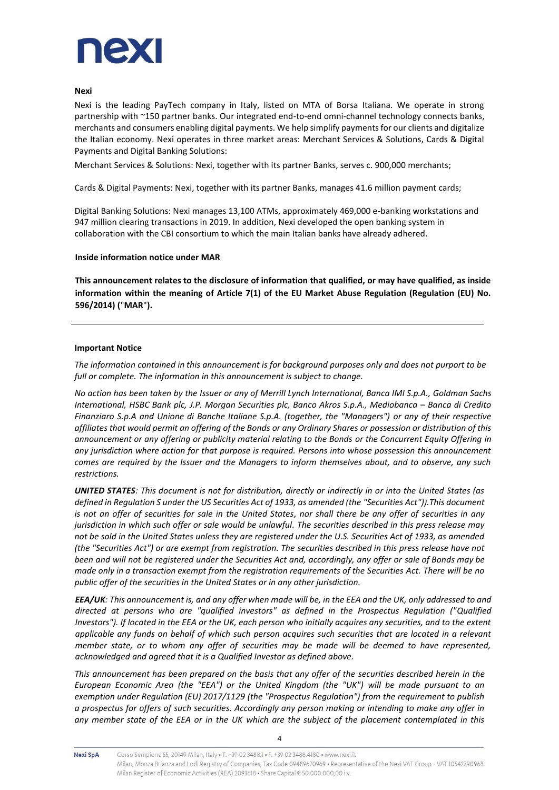

### **Nexi**

Nexi is the leading PayTech company in Italy, listed on MTA of Borsa Italiana. We operate in strong partnership with ~150 partner banks. Our integrated end-to-end omni-channel technology connects banks, merchants and consumers enabling digital payments. We help simplify payments for our clients and digitalize the Italian economy. Nexi operates in three market areas: Merchant Services & Solutions, Cards & Digital Payments and Digital Banking Solutions:

Merchant Services & Solutions: Nexi, together with its partner Banks, serves c. 900,000 merchants;

Cards & Digital Payments: Nexi, together with its partner Banks, manages 41.6 million payment cards;

Digital Banking Solutions: Nexi manages 13,100 ATMs, approximately 469,000 e-banking workstations and 947 million clearing transactions in 2019. In addition, Nexi developed the open banking system in collaboration with the CBI consortium to which the main Italian banks have already adhered.

#### **Inside information notice under MAR**

**This announcement relates to the disclosure of information that qualified, or may have qualified, as inside information within the meaning of Article 7(1) of the EU Market Abuse Regulation (Regulation (EU) No. 596/2014) (**"**MAR**"**).** 

### **Important Notice**

*The information contained in this announcement is for background purposes only and does not purport to be full or complete. The information in this announcement is subject to change.*

*No action has been taken by the Issuer or any of Merrill Lynch International, Banca IMI S.p.A., Goldman Sachs International, HSBC Bank plc, J.P. Morgan Securities plc, Banco Akros S.p.A., Mediobanca – Banca di Credito Finanziaro S.p.A and Unione di Banche Italiane S.p.A. (together, the "Managers") or any of their respective affiliates that would permit an offering of the Bonds or any Ordinary Shares or possession or distribution of this announcement or any offering or publicity material relating to the Bonds or the Concurrent Equity Offering in any jurisdiction where action for that purpose is required. Persons into whose possession this announcement comes are required by the Issuer and the Managers to inform themselves about, and to observe, any such restrictions.*

*UNITED STATES: This document is not for distribution, directly or indirectly in or into the United States (as defined in Regulation S under the US Securities Act of 1933, as amended (the "Securities Act")).This document*  is not an offer of securities for sale in the United States, nor shall there be any offer of securities in any *jurisdiction in which such offer or sale would be unlawful. The securities described in this press release may not be sold in the United States unless they are registered under the U.S. Securities Act of 1933, as amended (the "Securities Act") or are exempt from registration. The securities described in this press release have not been and will not be registered under the Securities Act and, accordingly, any offer or sale of Bonds may be made only in a transaction exempt from the registration requirements of the Securities Act. There will be no public offer of the securities in the United States or in any other jurisdiction.*

*EEA/UK: This announcement is, and any offer when made will be, in the EEA and the UK, only addressed to and directed at persons who are "qualified investors" as defined in the Prospectus Regulation ("Qualified Investors"). If located in the EEA or the UK, each person who initially acquires any securities, and to the extent applicable any funds on behalf of which such person acquires such securities that are located in a relevant member state, or to whom any offer of securities may be made will be deemed to have represented, acknowledged and agreed that it is a Qualified Investor as defined above.* 

*This announcement has been prepared on the basis that any offer of the securities described herein in the European Economic Area (the "EEA") or the United Kingdom (the "UK") will be made pursuant to an exemption under Regulation (EU) 2017/1129 (the "Prospectus Regulation") from the requirement to publish a prospectus for offers of such securities. Accordingly any person making or intending to make any offer in any member state of the EEA or in the UK which are the subject of the placement contemplated in this* 

**Nexi SpA**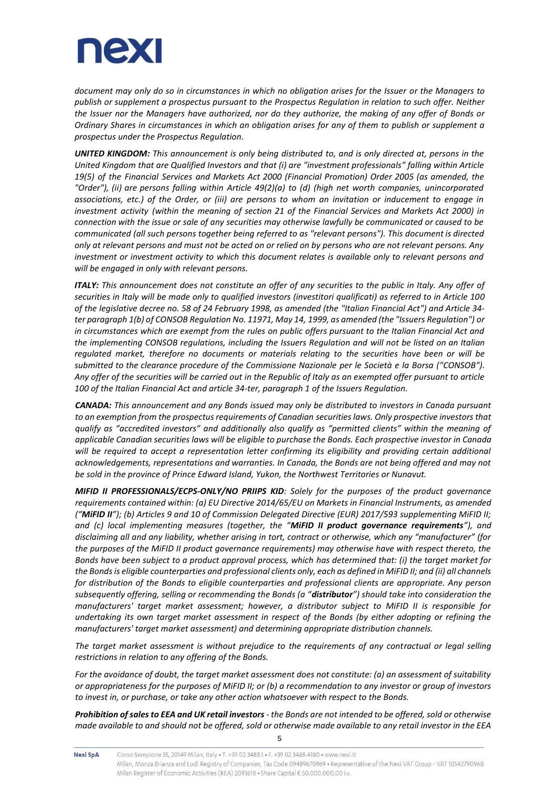

*document may only do so in circumstances in which no obligation arises for the Issuer or the Managers to publish or supplement a prospectus pursuant to the Prospectus Regulation in relation to such offer. Neither the Issuer nor the Managers have authorized, nor do they authorize, the making of any offer of Bonds or Ordinary Shares in circumstances in which an obligation arises for any of them to publish or supplement a prospectus under the Prospectus Regulation.*

*UNITED KINGDOM: This announcement is only being distributed to, and is only directed at, persons in the United Kingdom that are Qualified Investors and that (i) are "investment professionals" falling within Article 19(5) of the Financial Services and Markets Act 2000 (Financial Promotion) Order 2005 (as amended, the "Order"), (ii) are persons falling within Article 49(2)(a) to (d) (high net worth companies, unincorporated associations, etc.) of the Order, or (iii) are persons to whom an invitation or inducement to engage in investment activity (within the meaning of section 21 of the Financial Services and Markets Act 2000) in connection with the issue or sale of any securities may otherwise lawfully be communicated or caused to be communicated (all such persons together being referred to as "relevant persons"). This document is directed only at relevant persons and must not be acted on or relied on by persons who are not relevant persons. Any investment or investment activity to which this document relates is available only to relevant persons and will be engaged in only with relevant persons.*

*ITALY: This announcement does not constitute an offer of any securities to the public in Italy. Any offer of securities in Italy will be made only to qualified investors (investitori qualificati) as referred to in Article 100 of the legislative decree no. 58 of 24 February 1998, as amended (the "Italian Financial Act") and Article 34 ter paragraph 1(b) of CONSOB Regulation No. 11971, May 14, 1999, as amended (the "Issuers Regulation") or in circumstances which are exempt from the rules on public offers pursuant to the Italian Financial Act and the implementing CONSOB regulations, including the Issuers Regulation and will not be listed on an Italian regulated market, therefore no documents or materials relating to the securities have been or will be submitted to the clearance procedure of the Commissione Nazionale per le Società e la Borsa ("CONSOB"). Any offer of the securities will be carried out in the Republic of Italy as an exempted offer pursuant to article 100 of the Italian Financial Act and article 34-ter, paragraph 1 of the Issuers Regulation.*

*CANADA: This announcement and any Bonds issued may only be distributed to investors in Canada pursuant to an exemption from the prospectus requirements of Canadian securities laws. Only prospective investors that qualify as "accredited investors" and additionally also qualify as "permitted clients" within the meaning of applicable Canadian securities laws will be eligible to purchase the Bonds. Each prospective investor in Canada*  will be required to accept a representation letter confirming its eligibility and providing certain additional *acknowledgements, representations and warranties. In Canada, the Bonds are not being offered and may not be sold in the province of Prince Edward Island, Yukon, the Northwest Territories or Nunavut.*

*MIFID II PROFESSIONALS/ECPS-ONLY/NO PRIIPS KID: Solely for the purposes of the product governance requirements contained within: (a) EU Directive 2014/65/EU on Markets in Financial Instruments, as amended ("MiFID II"); (b) Articles 9 and 10 of Commission Delegated Directive (EUR) 2017/593 supplementing MiFID II; and (c) local implementing measures (together, the "MiFID II product governance requirements"), and disclaiming all and any liability, whether arising in tort, contract or otherwise, which any "manufacturer" (for the purposes of the MiFID II product governance requirements) may otherwise have with respect thereto, the Bonds have been subject to a product approval process, which has determined that: (i) the target market for the Bonds is eligible counterparties and professional clients only, each as defined in MiFID II; and (ii) all channels for distribution of the Bonds to eligible counterparties and professional clients are appropriate. Any person subsequently offering, selling or recommending the Bonds (a "distributor") should take into consideration the manufacturers' target market assessment; however, a distributor subject to MiFID II is responsible for undertaking its own target market assessment in respect of the Bonds (by either adopting or refining the manufacturers' target market assessment) and determining appropriate distribution channels.*

*The target market assessment is without prejudice to the requirements of any contractual or legal selling restrictions in relation to any offering of the Bonds.*

*For the avoidance of doubt, the target market assessment does not constitute: (a) an assessment of suitability or appropriateness for the purposes of MiFID II; or (b) a recommendation to any investor or group of investors to invest in, or purchase, or take any other action whatsoever with respect to the Bonds.*

*Prohibition of sales to EEA and UK retail investors - the Bonds are not intended to be offered, sold or otherwise made available to and should not be offered, sold or otherwise made available to any retail investor in the EEA* 

5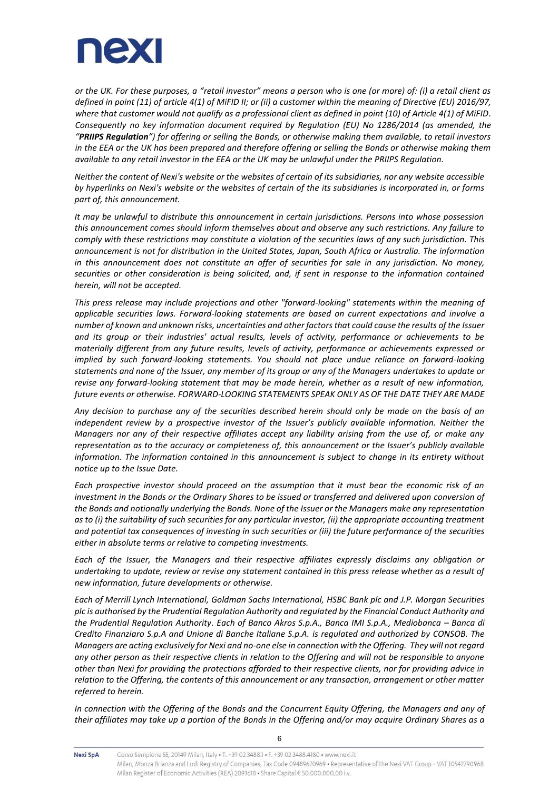

*or the UK. For these purposes, a "retail investor" means a person who is one (or more) of: (i) a retail client as defined in point (11) of article 4(1) of MiFID II; or (ii) a customer within the meaning of Directive (EU) 2016/97, where that customer would not qualify as a professional client as defined in point (10) of Article 4(1) of MiFID. Consequently no key information document required by Regulation (EU) No 1286/2014 (as amended, the "PRIIPS Regulation") for offering or selling the Bonds, or otherwise making them available, to retail investors in the EEA or the UK has been prepared and therefore offering or selling the Bonds or otherwise making them available to any retail investor in the EEA or the UK may be unlawful under the PRIIPS Regulation.*

*Neither the content of Nexi's website or the websites of certain of its subsidiaries, nor any website accessible by hyperlinks on Nexi's website or the websites of certain of the its subsidiaries is incorporated in, or forms part of, this announcement.*

*It may be unlawful to distribute this announcement in certain jurisdictions. Persons into whose possession this announcement comes should inform themselves about and observe any such restrictions. Any failure to comply with these restrictions may constitute a violation of the securities laws of any such jurisdiction. This announcement is not for distribution in the United States, Japan, South Africa or Australia. The information in this announcement does not constitute an offer of securities for sale in any jurisdiction. No money, securities or other consideration is being solicited, and, if sent in response to the information contained herein, will not be accepted.*

*This press release may include projections and other "forward-looking" statements within the meaning of applicable securities laws. Forward-looking statements are based on current expectations and involve a number of known and unknown risks, uncertainties and other factorsthat could cause the results of the Issuer and its group or their industries' actual results, levels of activity, performance or achievements to be materially different from any future results, levels of activity, performance or achievements expressed or implied by such forward-looking statements. You should not place undue reliance on forward-looking statements and none of the Issuer, any member of its group or any of the Managers undertakes to update or revise any forward-looking statement that may be made herein, whether as a result of new information, future events or otherwise. FORWARD-LOOKING STATEMENTS SPEAK ONLY AS OF THE DATE THEY ARE MADE*

*Any decision to purchase any of the securities described herein should only be made on the basis of an independent review by a prospective investor of the Issuer's publicly available information. Neither the Managers nor any of their respective affiliates accept any liability arising from the use of, or make any representation as to the accuracy or completeness of, this announcement or the Issuer's publicly available information. The information contained in this announcement is subject to change in its entirety without notice up to the Issue Date.*

*Each prospective investor should proceed on the assumption that it must bear the economic risk of an investment in the Bonds or the Ordinary Shares to be issued or transferred and delivered upon conversion of the Bonds and notionally underlying the Bonds. None of the Issuer or the Managers make any representation*  as to (i) the suitability of such securities for any particular investor, (ii) the appropriate accounting treatment *and potential tax consequences of investing in such securities or (iii) the future performance of the securities either in absolute terms or relative to competing investments.*

*Each of the Issuer, the Managers and their respective affiliates expressly disclaims any obligation or undertaking to update, review or revise any statement contained in this press release whether as a result of new information, future developments or otherwise.*

*Each of Merrill Lynch International, Goldman Sachs International, HSBC Bank plc and J.P. Morgan Securities plc is authorised by the Prudential Regulation Authority and regulated by the Financial Conduct Authority and the Prudential Regulation Authority. Each of Banco Akros S.p.A., Banca IMI S.p.A., Mediobanca – Banca di Credito Finanziaro S.p.A and Unione di Banche Italiane S.p.A. is regulated and authorized by CONSOB. The Managers are acting exclusively for Nexi and no-one else in connection with the Offering. They will not regard any other person as their respective clients in relation to the Offering and will not be responsible to anyone other than Nexi for providing the protections afforded to their respective clients, nor for providing advice in relation to the Offering, the contents of this announcement or any transaction, arrangement or other matter referred to herein.*

*In connection with the Offering of the Bonds and the Concurrent Equity Offering, the Managers and any of their affiliates may take up a portion of the Bonds in the Offering and/or may acquire Ordinary Shares as a*